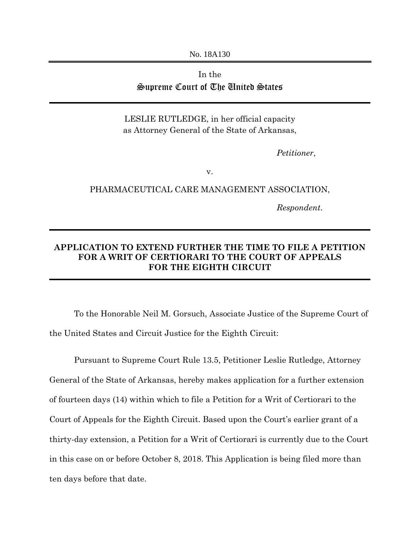No. 18A130

## In the Supreme Court of The United States

LESLIE RUTLEDGE, in her official capacity as Attorney General of the State of Arkansas,

*Petitioner*,

v.

PHARMACEUTICAL CARE MANAGEMENT ASSOCIATION,

*Respondent*.

## **APPLICATION TO EXTEND FURTHER THE TIME TO FILE A PETITION FOR A WRIT OF CERTIORARI TO THE COURT OF APPEALS FOR THE EIGHTH CIRCUIT**

 To the Honorable Neil M. Gorsuch, Associate Justice of the Supreme Court of the United States and Circuit Justice for the Eighth Circuit:

Pursuant to Supreme Court Rule 13.5, Petitioner Leslie Rutledge, Attorney General of the State of Arkansas, hereby makes application for a further extension of fourteen days (14) within which to file a Petition for a Writ of Certiorari to the Court of Appeals for the Eighth Circuit. Based upon the Court's earlier grant of a thirty-day extension, a Petition for a Writ of Certiorari is currently due to the Court in this case on or before October 8, 2018. This Application is being filed more than ten days before that date.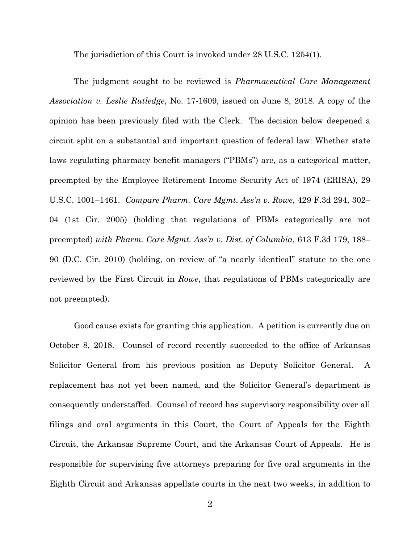The jurisdiction of this Court is invoked under 28 U.S.C. 1254(1).

The judgment sought to be reviewed is *Pharmaceutical Care Management Association v. Leslie Rutledge*, No. 17-1609, issued on June 8, 2018. A copy of the opinion has been previously filed with the Clerk. The decision below deepened a circuit split on a substantial and important question of federal law: Whether state laws regulating pharmacy benefit managers ("PBMs") are, as a categorical matter, preempted by the Employee Retirement Income Security Act of 1974 (ERISA), 29 U.S.C. 1001–1461. *Compare Pharm. Care Mgmt. Ass'n v. Rowe*, 429 F.3d 294, 302– 04 (1st Cir. 2005) (holding that regulations of PBMs categorically are not preempted) *with Pharm. Care Mgmt. Ass'n v. Dist. of Columbia*, 613 F.3d 179, 188– 90 (D.C. Cir. 2010) (holding, on review of "a nearly identical" statute to the one reviewed by the First Circuit in *Rowe*, that regulations of PBMs categorically are not preempted).

Good cause exists for granting this application. A petition is currently due on October 8, 2018. Counsel of record recently succeeded to the office of Arkansas Solicitor General from his previous position as Deputy Solicitor General. A replacement has not yet been named, and the Solicitor General's department is consequently understaffed. Counsel of record has supervisory responsibility over all filings and oral arguments in this Court, the Court of Appeals for the Eighth Circuit, the Arkansas Supreme Court, and the Arkansas Court of Appeals. He is responsible for supervising five attorneys preparing for five oral arguments in the Eighth Circuit and Arkansas appellate courts in the next two weeks, in addition to